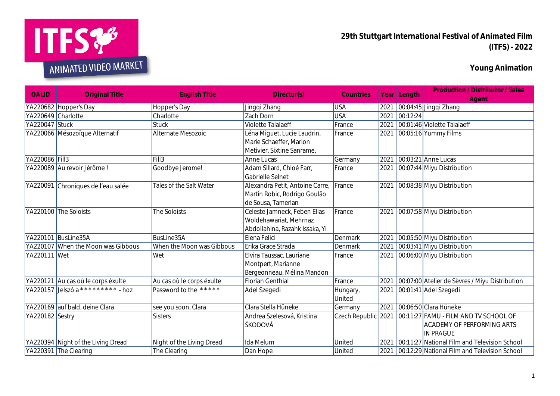

**29th Stuttgart International Festival of Animated Film (ITFS) - 2022**

**Young Animation**

| <b>OALID</b>       | <b>Original Title</b>                       | <b>English Title</b>      | Director(s)                                                                              | Countries           |      | Year Length | <b>Production / Distributor / Sales</b><br>Agent                                               |
|--------------------|---------------------------------------------|---------------------------|------------------------------------------------------------------------------------------|---------------------|------|-------------|------------------------------------------------------------------------------------------------|
|                    | YA220682 Hopper's Day                       | Hopper's Day              | Jingqi Zhang                                                                             | <b>USA</b>          | 2021 |             | 00:04:45 Jingqi Zhang                                                                          |
| YA220649 Charlotte |                                             | Charlotte                 | Zach Dorn                                                                                | <b>USA</b>          | 2021 | 00:12:24    |                                                                                                |
| YA220047 Stuck     |                                             | <b>Stuck</b>              | Violette Talalaeff                                                                       | France              | 2021 |             | 00:01:46 Violette Talalaeff                                                                    |
|                    | YA220066 Mésozoïque Alternatif              | Alternate Mesozoic        | éna Miguet, Lucie Laudrin,<br>Marie Schaeffer, Marion<br>Metivier, Sixtine Sanrame,      | France              | 2021 |             | 00:05:16 Yummy Films                                                                           |
| YA220086 Fill3     |                                             | Fill3                     | Anne Lucas                                                                               | Germany             | 2021 |             | 00:03:21 Anne Lucas                                                                            |
|                    | YA220089 Au revoir Jérôme!                  | Goodbye Jerome!           | Adam Sillard, Chloé Farr,<br>Gabrielle Selnet                                            | France              | 2021 |             | 00:07:44 Miyu Distribution                                                                     |
| YA220091           | Chroniques de l'eau salée                   | Tales of the Salt Water   | Alexandra Petit, Antoine Carre,<br>Martin Robic, Rodrigo Goulão<br>de Sousa, Tamerlan    | France              | 2021 |             | 00:08:38 Miyu Distribution                                                                     |
|                    | YA220100 The Soloists                       | The Soloists              | Celeste Jamneck, Feben Elias<br>Woldehawariat, Mehrnaz<br>Abdollahina, Razahk Issaka, Yi | France              | 2021 |             | 00:07:58 Miyu Distribution                                                                     |
|                    | YA220101 BusLine35A                         | BusLine35A                | Elena Felici                                                                             | Denmark             | 2021 |             | 00:05:50 Miyu Distribution                                                                     |
|                    | YA220107 When the Moon was Gibbous          | When the Moon was Gibbous | Erika Grace Strada                                                                       | Denmark             | 2021 |             | 00:03:41 Miyu Distribution                                                                     |
| YA220111 Wet       |                                             | Wet                       | Elvira Taussac, Lauriane<br>Montpert, Marianne<br>Bergeonneau, Mélina Mandon             | France              | 2021 |             | 00:06:00 Miyu Distribution                                                                     |
|                    | YA220121 Au cas où le corps éxulte          | Au cas où le corps éxulte | Florian Genthial                                                                         | France              | 2021 |             | 00:07:00 Atelier de Sèvres / Miyu Distribution                                                 |
|                    | YA220157 Jelszó a * * * * * * * * * * - hoz | Password to the *****     | Adel Szegedi                                                                             | Hungary,<br>United  | 2021 |             | 00:01:41 Adel Szegedi                                                                          |
|                    | YA220169 auf bald, deine Clara              | see you soon, Clara       | Clara Stella Hüneke                                                                      | Germany             | 2021 |             | 00:06:50 Clara Hüneke                                                                          |
| YA220182 Sestry    |                                             | Sisters                   | Andrea Szelesová, Kristina<br>ŠKODOVÁ                                                    | Czech Republic 2021 |      |             | 00:11:27 FAMU - FILM AND TV SCHOOL OF<br><b>ACADEMY OF PERFORMING ARTS</b><br><b>IN PRAGUE</b> |
|                    | YA220394 Night of the Living Dread          | Night of the Living Dread | Ida Melum                                                                                | United              | 2021 |             | 00:11:27 National Film and Television School                                                   |
|                    | YA220391 The Clearing                       | The Clearing              | Dan Hope                                                                                 | United              |      |             | 2021 00:12:29 National Film and Television School                                              |